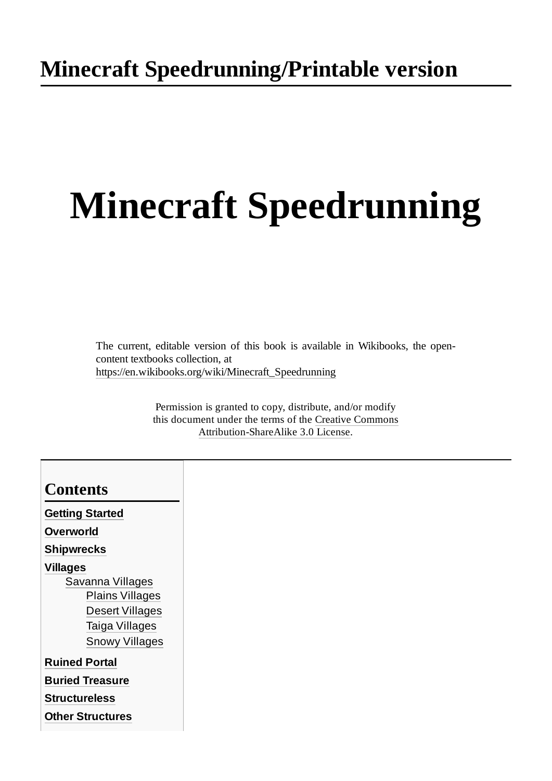# **Minecraft Speedrunning**

The current, editable version of this book is available in Wikibooks, the opencontent textbooks collection, at [https://en.wikibooks.org/wiki/Minecraft\\_Speedrunning](https://en.wikibooks.org/wiki/Minecraft_Speedrunning)

> Permission is granted to copy, distribute, and/or modify this document under the terms of the Creative Commons [Attribution-ShareAlike](https://en.wikibooks.org/wiki/Wikibooks:Creative_Commons_Attribution-ShareAlike_3.0_Unported_License) 3.0 License.

| <b>Contents</b>         |
|-------------------------|
| <b>Getting Started</b>  |
| Overworld               |
| <b>Shipwrecks</b>       |
| <b>Villages</b>         |
| Savanna Villages        |
| <b>Plains Villages</b>  |
| <b>Desert Villages</b>  |
| Taiga Villages          |
| <b>Snowy Villages</b>   |
| <b>Ruined Portal</b>    |
| <b>Buried Treasure</b>  |
| <b>Structureless</b>    |
| <b>Other Structures</b> |
|                         |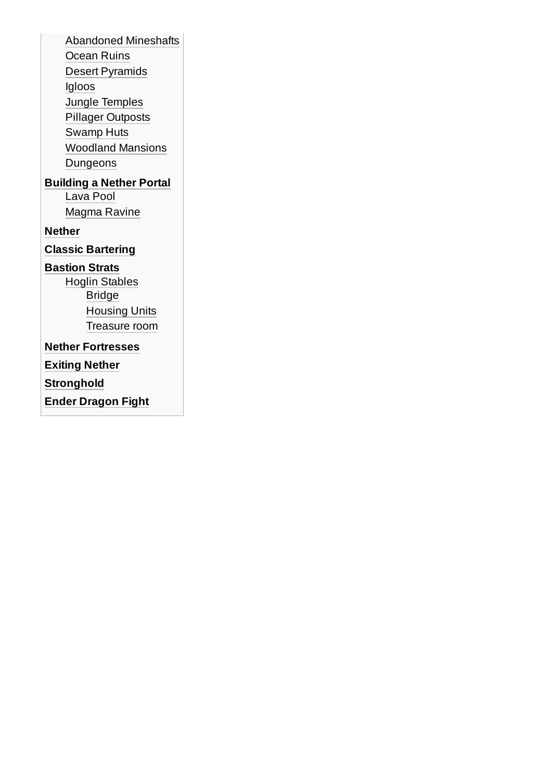[Abandoned](#page-10-1) Mineshafts [Ocean](#page-10-2) Ruins Desert [Pyramids](#page-10-3) [Igloos](#page-10-4) Jungle [Temples](#page-10-5) Pillager [Outposts](#page-10-6) [Swamp](#page-10-7) Huts [Woodland](#page-11-0) Mansions [Dungeons](#page-11-1) **[Building](#page-12-0) a Nether Portal** [Lava](#page-12-1) Pool [Magma](#page-12-2) Ravine **[Nether](#page-13-0) Classic [Bartering](#page-14-0) [Bastion](#page-15-0) Strats** Hoglin [Stables](#page-15-1) [Bridge](#page-15-2) [Housing](#page-15-3) Units

[Treasure](#page-15-4) room

**Nether [Fortresses](#page-16-0)**

**[Exiting](#page-17-0) Nether**

**[Stronghold](#page-18-0)**

**Ender [Dragon](#page-19-0) Fight**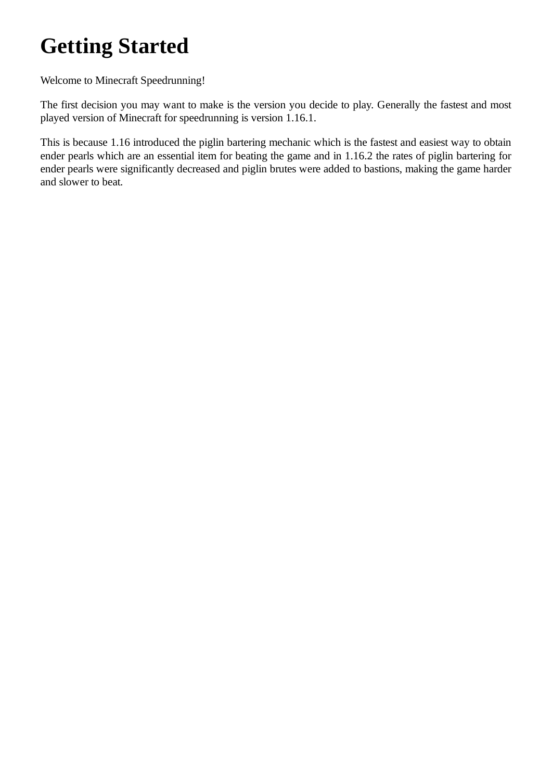## <span id="page-2-0"></span>**Getting Started**

Welcome to Minecraft Speedrunning!

The first decision you may want to make is the version you decide to play. Generally the fastest and most played version of Minecraft for speedrunning is version 1.16.1.

This is because 1.16 introduced the piglin bartering mechanic which is the fastest and easiest way to obtain ender pearls which are an essential item for beating the game and in 1.16.2 the rates of piglin bartering for ender pearls were significantly decreased and piglin brutes were added to bastions, making the game harder and slower to beat.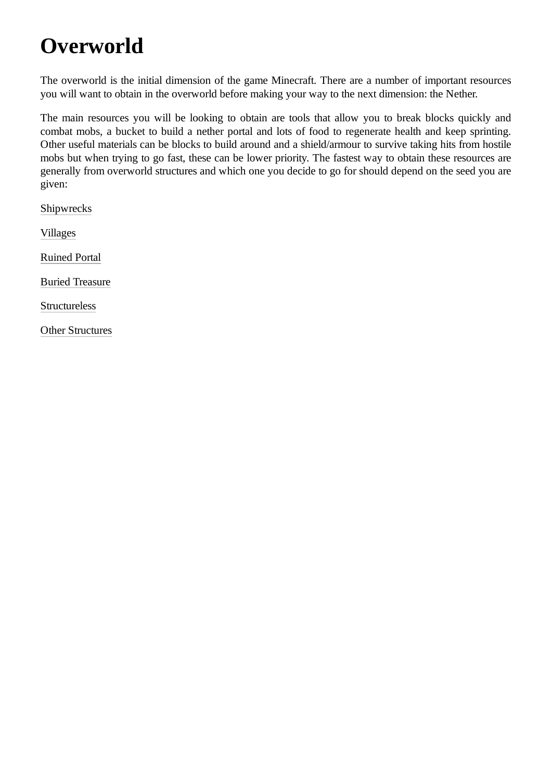# <span id="page-3-0"></span>**Overworld**

The overworld is the initial dimension of the game Minecraft. There are a number of important resources you will want to obtain in the overworld before making your way to the next dimension: the Nether.

The main resources you will be looking to obtain are tools that allow you to break blocks quickly and combat mobs, a bucket to build a nether portal and lots of food to regenerate health and keep sprinting. Other useful materials can be blocks to build around and a shield/armour to survive taking hits from hostile mobs but when trying to go fast, these can be lower priority. The fastest way to obtain these resources are generally from overworld structures and which one you decide to go for should depend on the seed you are given:

[Shipwrecks](https://en.wikibooks.org/wiki/Minecraft_Speedrunning/Shipwrecks)

[Villages](https://en.wikibooks.org/wiki/Minecraft_Speedrunning/Villages)

[Ruined Portal](https://en.wikibooks.org/wiki/Minecraft_Speedrunning/Ruined_Portal)

[Buried Treasure](https://en.wikibooks.org/wiki/Minecraft_Speedrunning/Buried_Treasure)

**[Structureless](https://en.wikibooks.org/wiki/Minecraft_Speedrunning/Structureless)** 

[Other Structures](https://en.wikibooks.org/wiki/Minecraft_Speedrunning/Other_Structures)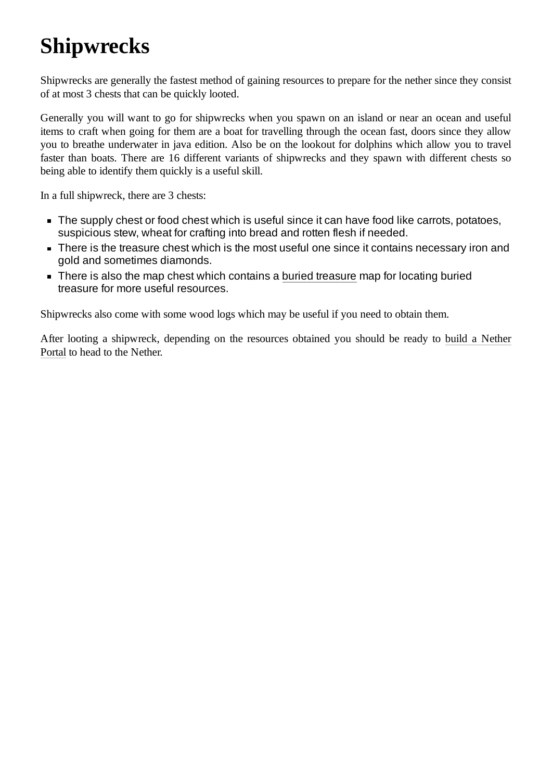# <span id="page-4-0"></span>**Shipwrecks**

Shipwrecks are generally the fastest method of gaining resources to prepare for the nether since they consist of at most 3 chests that can be quickly looted.

Generally you will want to go for shipwrecks when you spawn on an island or near an ocean and useful items to craft when going for them are a boat for travelling through the ocean fast, doors since they allow you to breathe underwater in java edition. Also be on the lookout for dolphins which allow you to travel faster than boats. There are 16 different variants of shipwrecks and they spawn with different chests so being able to identify them quickly is a useful skill.

In a full shipwreck, there are 3 chests:

- The supply chest or food chest which is useful since it can have food like carrots, potatoes, suspicious stew, wheat for crafting into bread and rotten flesh if needed.
- There is the treasure chest which is the most useful one since it contains necessary iron and gold and sometimes diamonds.
- There is also the map chest which contains a buried [treasure](https://en.wikibooks.org/w/index.php?title=Minecraft_Speedrunning/Buried_treasure&action=edit&redlink=1) map for locating buried treasure for more useful resources.

Shipwrecks also come with some wood logs which may be useful if you need to obtain them.

After looting a [shipwreck, depending on the](https://en.wikibooks.org/wiki/Minecraft_Speedrunning/Building_a_Nether_Portal) resources obtained you should be ready to build a Nether Portal to head to the Nether.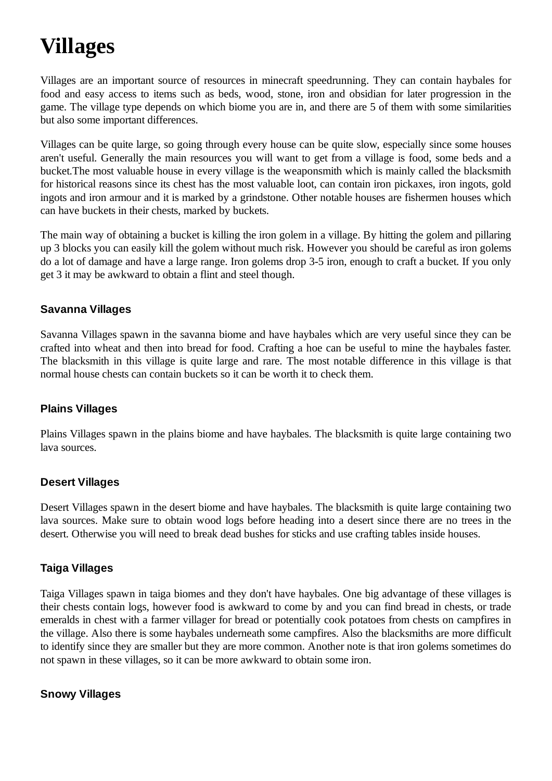# <span id="page-5-0"></span>**Villages**

Villages are an important source of resources in minecraft speedrunning. They can contain haybales for food and easy access to items such as beds, wood, stone, iron and obsidian for later progression in the game. The village type depends on which biome you are in, and there are 5 of them with some similarities but also some important differences.

Villages can be quite large, so going through every house can be quite slow, especially since some houses aren't useful. Generally the main resources you will want to get from a village is food, some beds and a bucket.The most valuable house in every village is the weaponsmith which is mainly called the blacksmith for historical reasons since its chest has the most valuable loot, can contain iron pickaxes, iron ingots, gold ingots and iron armour and it is marked by a grindstone. Other notable houses are fishermen houses which can have buckets in their chests, marked by buckets.

The main way of obtaining a bucket is killing the iron golem in a village. By hitting the golem and pillaring up 3 blocks you can easily kill the golem without much risk. However you should be careful as iron golems do a lot of damage and have a large range. Iron golems drop 3-5 iron, enough to craft a bucket. If you only get 3 it may be awkward to obtain a flint and steel though.

#### <span id="page-5-1"></span>**Savanna Villages**

Savanna Villages spawn in the savanna biome and have haybales which are very useful since they can be crafted into wheat and then into bread for food. Crafting a hoe can be useful to mine the haybales faster. The blacksmith in this village is quite large and rare. The most notable difference in this village is that normal house chests can contain buckets so it can be worth it to check them.

#### <span id="page-5-2"></span>**Plains Villages**

Plains Villages spawn in the plains biome and have haybales. The blacksmith is quite large containing two lava sources.

#### <span id="page-5-3"></span>**Desert Villages**

Desert Villages spawn in the desert biome and have haybales. The blacksmith is quite large containing two lava sources. Make sure to obtain wood logs before heading into a desert since there are no trees in the desert. Otherwise you will need to break dead bushes for sticks and use crafting tables inside houses.

#### <span id="page-5-4"></span>**Taiga Villages**

Taiga Villages spawn in taiga biomes and they don't have haybales. One big advantage of these villages is their chests contain logs, however food is awkward to come by and you can find bread in chests, or trade emeralds in chest with a farmer villager for bread or potentially cook potatoes from chests on campfires in the village. Also there is some haybales underneath some campfires. Also the blacksmiths are more difficult to identify since they are smaller but they are more common. Another note is that iron golems sometimes do not spawn in these villages, so it can be more awkward to obtain some iron.

#### <span id="page-5-5"></span>**Snowy Villages**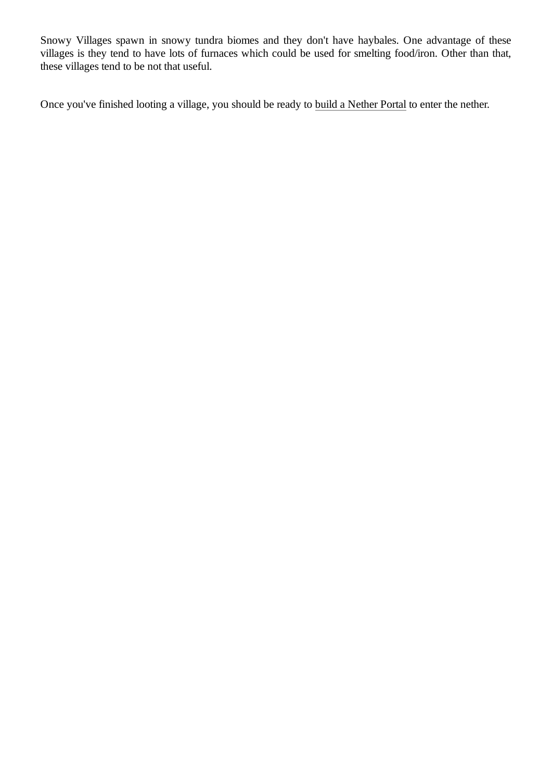Snowy Villages spawn in snowy tundra biomes and they don't have haybales. One advantage of these villages is they tend to have lots of furnaces which could be used for smelting food/iron. Other than that, these villages tend to be not that useful.

Once you've finished looting a village, you should be ready to [build a Nether Portal](https://en.wikibooks.org/wiki/Minecraft_Speedrunning/Building_a_Nether_Portal) to enter the nether.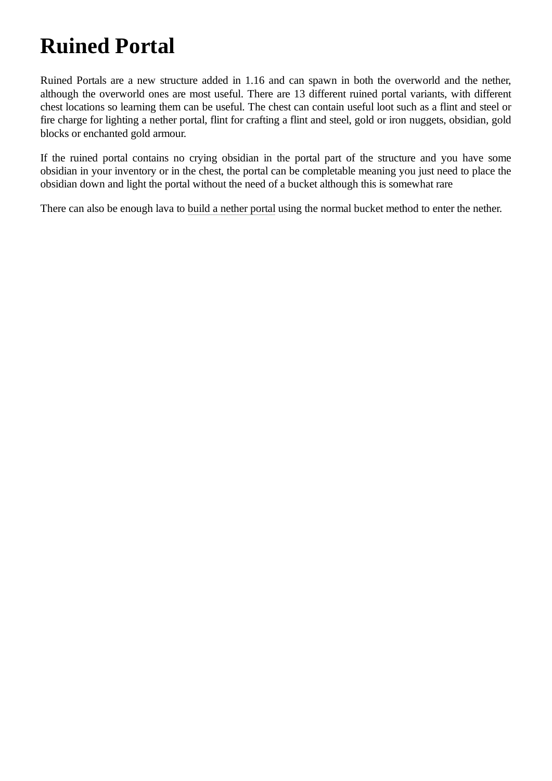# <span id="page-7-0"></span>**Ruined Portal**

Ruined Portals are a new structure added in 1.16 and can spawn in both the overworld and the nether, although the overworld ones are most useful. There are 13 different ruined portal variants, with different chest locations so learning them can be useful. The chest can contain useful loot such as a flint and steel or fire charge for lighting a nether portal, flint for crafting a flint and steel, gold or iron nuggets, obsidian, gold blocks or enchanted gold armour.

If the ruined portal contains no crying obsidian in the portal part of the structure and you have some obsidian in your inventory or in the chest, the portal can be completable meaning you just need to place the obsidian down and light the portal without the need of a bucket although this is somewhat rare

There can also be enough lava to [build a nether portal](https://en.wikibooks.org/wiki/Minecraft_Speedrunning/Building_a_Nether_Portal) using the normal bucket method to enter the nether.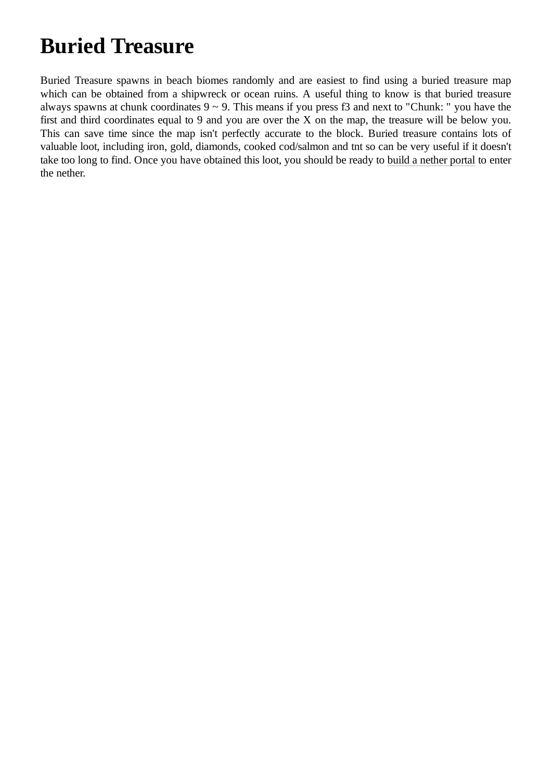### <span id="page-8-0"></span>**Buried Treasure**

Buried Treasure spawns in beach biomes randomly and are easiest to find using a buried treasure map which can be obtained from a shipwreck or ocean ruins. A useful thing to know is that buried treasure always spawns at chunk coordinates  $9 \sim 9$ . This means if you press f3 and next to "Chunk: " you have the first and third coordinates equal to 9 and you are over the X on the map, the treasure will be below you. This can save time since the map isn't perfectly accurate to the block. Buried treasure contains lots of valuable loot, including iron, gold, diamonds, cooked cod/salmon and tnt so can be very useful if it doesn't take too long to find. Once you have obtained this loot, you should be ready to [build a nether portal](https://en.wikibooks.org/wiki/Minecraft_Speedrunning/Building_a_Nether_Portal) to enter the nether.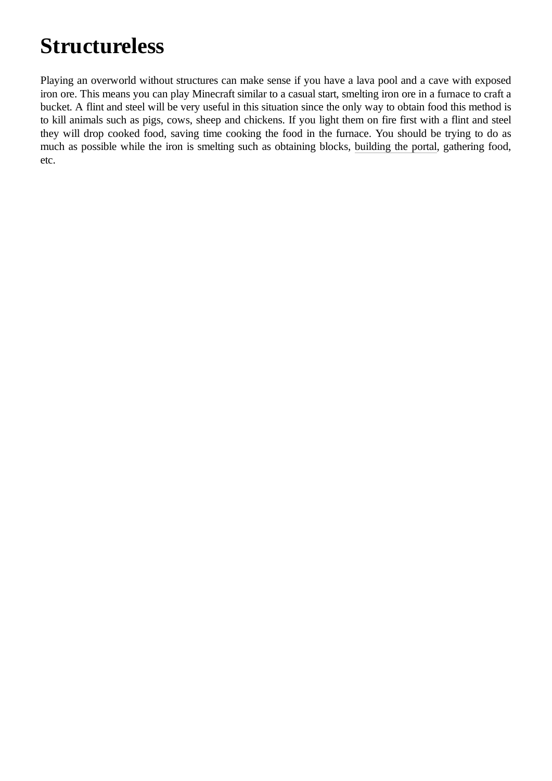## <span id="page-9-0"></span>**Structureless**

Playing an overworld without structures can make sense if you have a lava pool and a cave with exposed iron ore. This means you can play Minecraft similar to a casual start, smelting iron ore in a furnace to craft a bucket. A flint and steel will be very useful in this situation since the only way to obtain food this method is to kill animals such as pigs, cows, sheep and chickens. If you light them on fire first with a flint and steel they will drop cooked food, saving time cooking the food in the furnace. You should be trying to do as much as possible while the iron is smelting such as obtaining blocks, [building the](https://en.wikibooks.org/wiki/Minecraft_Speedrunning/Building_a_Nether_Portal) portal, gathering food, etc.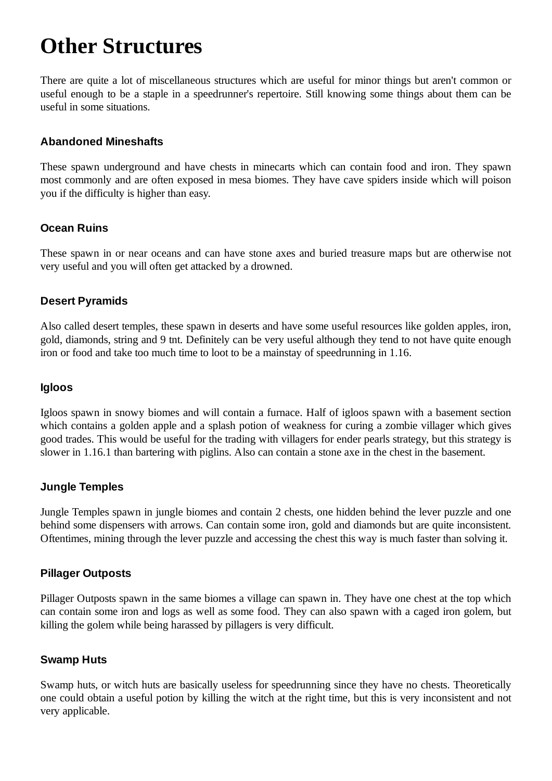### <span id="page-10-0"></span>**Other Structures**

There are quite a lot of miscellaneous structures which are useful for minor things but aren't common or useful enough to be a staple in a speedrunner's repertoire. Still knowing some things about them can be useful in some situations.

#### <span id="page-10-1"></span>**Abandoned Mineshafts**

These spawn underground and have chests in minecarts which can contain food and iron. They spawn most commonly and are often exposed in mesa biomes. They have cave spiders inside which will poison you if the difficulty is higher than easy.

#### <span id="page-10-2"></span>**Ocean Ruins**

These spawn in or near oceans and can have stone axes and buried treasure maps but are otherwise not very useful and you will often get attacked by a drowned.

#### <span id="page-10-3"></span>**Desert Pyramids**

Also called desert temples, these spawn in deserts and have some useful resources like golden apples, iron, gold, diamonds, string and 9 tnt. Definitely can be very useful although they tend to not have quite enough iron or food and take too much time to loot to be a mainstay of speedrunning in 1.16.

#### <span id="page-10-4"></span>**Igloos**

Igloos spawn in snowy biomes and will contain a furnace. Half of igloos spawn with a basement section which contains a golden apple and a splash potion of weakness for curing a zombie villager which gives good trades. This would be useful for the trading with villagers for ender pearls strategy, but this strategy is slower in 1.16.1 than bartering with piglins. Also can contain a stone axe in the chest in the basement.

#### <span id="page-10-5"></span>**Jungle Temples**

Jungle Temples spawn in jungle biomes and contain 2 chests, one hidden behind the lever puzzle and one behind some dispensers with arrows. Can contain some iron, gold and diamonds but are quite inconsistent. Oftentimes, mining through the lever puzzle and accessing the chest this way is much faster than solving it.

#### <span id="page-10-6"></span>**Pillager Outposts**

Pillager Outposts spawn in the same biomes a village can spawn in. They have one chest at the top which can contain some iron and logs as well as some food. They can also spawn with a caged iron golem, but killing the golem while being harassed by pillagers is very difficult.

#### <span id="page-10-7"></span>**Swamp Huts**

Swamp huts, or witch huts are basically useless for speedrunning since they have no chests. Theoretically one could obtain a useful potion by killing the witch at the right time, but this is very inconsistent and not very applicable.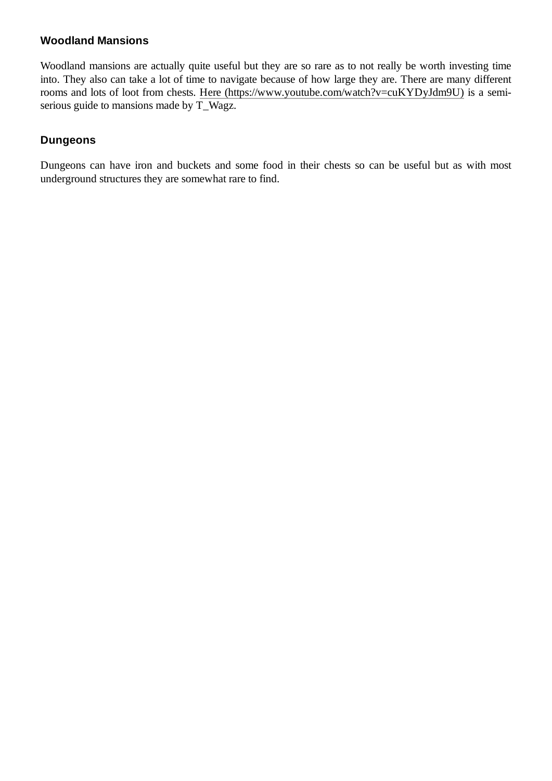#### <span id="page-11-0"></span>**Woodland Mansions**

Woodland mansions are actually quite useful but they are so rare as to not really be worth investing time into. They also can take a lot of time to navigate because of how large they are. There are many different rooms and lots of loot from chests. Here [\(https://www.youtube.com/watch?v=cuKYDyJdm9U\)](https://www.youtube.com/watch?v=cuKYDyJdm9U) is a semiserious guide to mansions made by T\_Wagz.

#### <span id="page-11-1"></span>**Dungeons**

Dungeons can have iron and buckets and some food in their chests so can be useful but as with most underground structures they are somewhat rare to find.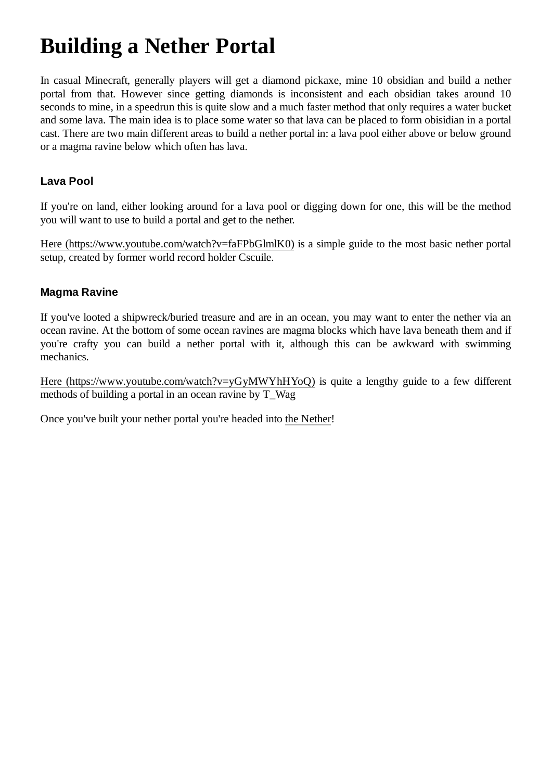## <span id="page-12-0"></span>**Building a Nether Portal**

In casual Minecraft, generally players will get a diamond pickaxe, mine 10 obsidian and build a nether portal from that. However since getting diamonds is inconsistent and each obsidian takes around 10 seconds to mine, in a speedrun this is quite slow and a much faster method that only requires a water bucket and some lava. The main idea is to place some water so that lava can be placed to form obisidian in a portal cast. There are two main different areas to build a nether portal in: a lava pool either above or below ground or a magma ravine below which often has lava.

#### <span id="page-12-1"></span>**Lava Pool**

If you're on land, either looking around for a lava pool or digging down for one, this will be the method you will want to use to build a portal and get to the nether.

Here [\(https://www.youtube.com/watch?v=faFPbGlmlK0\)](https://www.youtube.com/watch?v=faFPbGlmlK0) is a simple guide to the most basic nether portal setup, created by former world record holder Cscuile.

#### <span id="page-12-2"></span>**Magma Ravine**

If you've looted a shipwreck/buried treasure and are in an ocean, you may want to enter the nether via an ocean ravine. At the bottom of some ocean ravines are magma blocks which have lava beneath them and if you're crafty you can build a nether portal with it, although this can be awkward with swimming mechanics.

Here [\(https://www.youtube.com/watch?v=yGyMWYhHYoQ\)](https://www.youtube.com/watch?v=yGyMWYhHYoQ) is quite a lengthy guide to a few different methods of building a portal in an ocean ravine by T\_Wag

Once you've built your nether portal you're headed into [the Nether](https://en.wikibooks.org/wiki/Minecraft_Speedrunning/Nether)!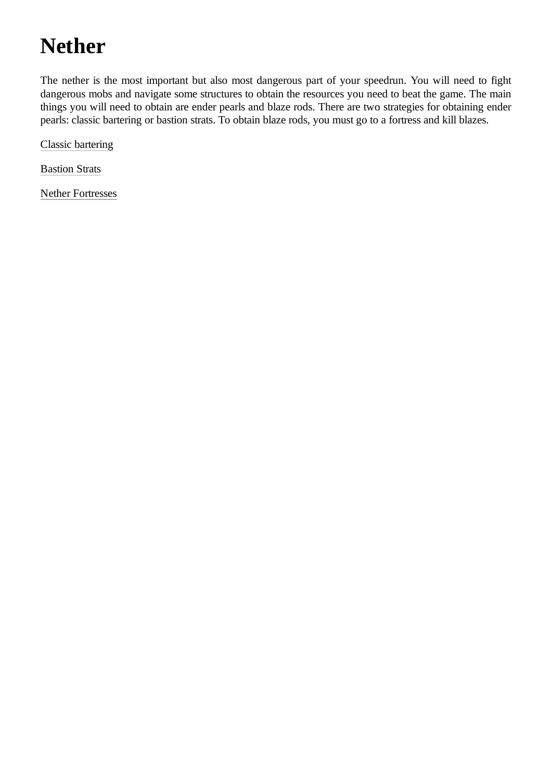# <span id="page-13-0"></span>**Nether**

The nether is the most important but also most dangerous part of your speedrun. You will need to fight dangerous mobs and navigate some structures to obtain the resources you need to beat the game. The main things you will need to obtain are ender pearls and blaze rods. There are two strategies for obtaining ender pearls: classic bartering or bastion strats. To obtain blaze rods, you must go to a fortress and kill blazes.

[Classic bartering](https://en.wikibooks.org/wiki/Minecraft_Speedrunning/Classic_Bartering)

[Bastion Strats](https://en.wikibooks.org/wiki/Minecraft_Speedrunning/Bastion_Strats)

[Nether Fortresses](https://en.wikibooks.org/wiki/Minecraft_Speedrunning/Nether_Fortresses)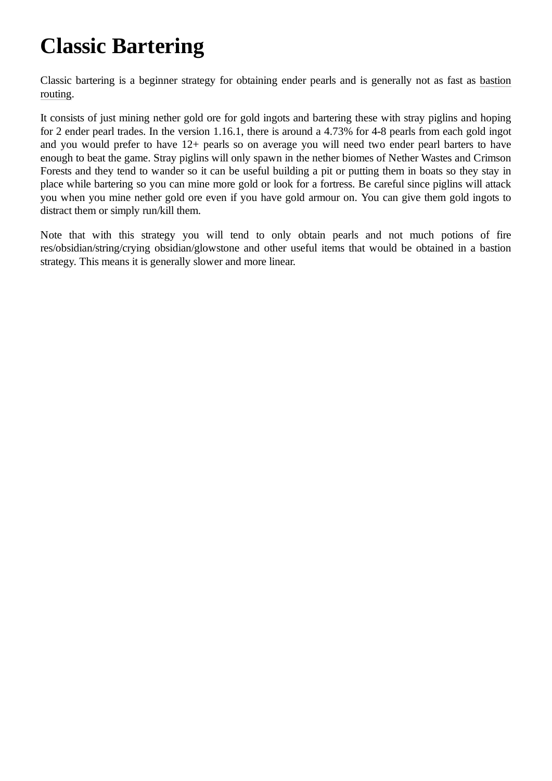# <span id="page-14-0"></span>**Classic Bartering**

Classic bartering is a beginner strategy for [obtaining ender](https://en.wikibooks.org/wiki/Minecraft_Speedrunning/Bastion_Strats) pearls and is generally not as fast as bastion routing.

It consists of just mining nether gold ore for gold ingots and bartering these with stray piglins and hoping for 2 ender pearl trades. In the version 1.16.1, there is around a 4.73% for 4-8 pearls from each gold ingot and you would prefer to have 12+ pearls so on average you will need two ender pearl barters to have enough to beat the game. Stray piglins will only spawn in the nether biomes of Nether Wastes and Crimson Forests and they tend to wander so it can be useful building a pit or putting them in boats so they stay in place while bartering so you can mine more gold or look for a fortress. Be careful since piglins will attack you when you mine nether gold ore even if you have gold armour on. You can give them gold ingots to distract them or simply run/kill them.

Note that with this strategy you will tend to only obtain pearls and not much potions of fire res/obsidian/string/crying obsidian/glowstone and other useful items that would be obtained in a bastion strategy. This means it is generally slower and more linear.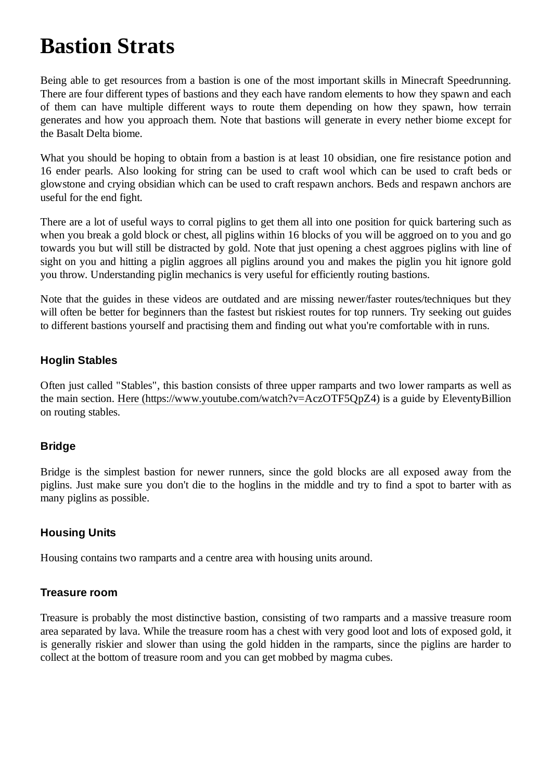### <span id="page-15-0"></span>**Bastion Strats**

Being able to get resources from a bastion is one of the most important skills in Minecraft Speedrunning. There are four different types of bastions and they each have random elements to how they spawn and each of them can have multiple different ways to route them depending on how they spawn, how terrain generates and how you approach them. Note that bastions will generate in every nether biome except for the Basalt Delta biome.

What you should be hoping to obtain from a bastion is at least 10 obsidian, one fire resistance potion and 16 ender pearls. Also looking for string can be used to craft wool which can be used to craft beds or glowstone and crying obsidian which can be used to craft respawn anchors. Beds and respawn anchors are useful for the end fight.

There are a lot of useful ways to corral piglins to get them all into one position for quick bartering such as when you break a gold block or chest, all piglins within 16 blocks of you will be aggroed on to you and go towards you but will still be distracted by gold. Note that just opening a chest aggroes piglins with line of sight on you and hitting a piglin aggroes all piglins around you and makes the piglin you hit ignore gold you throw. Understanding piglin mechanics is very useful for efficiently routing bastions.

Note that the guides in these videos are outdated and are missing newer/faster routes/techniques but they will often be better for beginners than the fastest but riskiest routes for top runners. Try seeking out guides to different bastions yourself and practising them and finding out what you're comfortable with in runs.

#### <span id="page-15-1"></span>**Hoglin Stables**

Often just called "Stables", this bastion consists of three upper ramparts and two lower ramparts as well as the main section. [Here \(https://www.youtube.com/watch?v=AczOTF5QpZ4\)](https://www.youtube.com/watch?v=AczOTF5QpZ4) is a guide by EleventyBillion on routing stables.

#### <span id="page-15-2"></span>**Bridge**

Bridge is the simplest bastion for newer runners, since the gold blocks are all exposed away from the piglins. Just make sure you don't die to the hoglins in the middle and try to find a spot to barter with as many piglins as possible.

#### <span id="page-15-3"></span>**Housing Units**

Housing contains two ramparts and a centre area with housing units around.

#### <span id="page-15-4"></span>**Treasure room**

Treasure is probably the most distinctive bastion, consisting of two ramparts and a massive treasure room area separated by lava. While the treasure room has a chest with very good loot and lots of exposed gold, it is generally riskier and slower than using the gold hidden in the ramparts, since the piglins are harder to collect at the bottom of treasure room and you can get mobbed by magma cubes.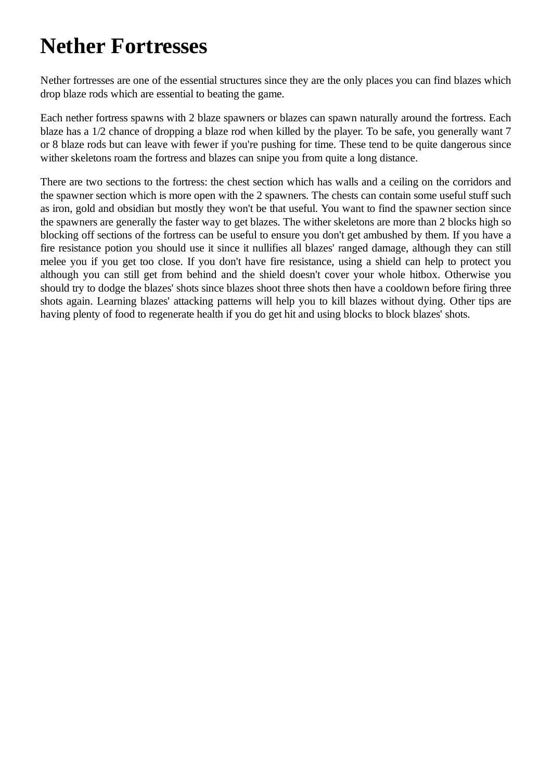### <span id="page-16-0"></span>**Nether Fortresses**

Nether fortresses are one of the essential structures since they are the only places you can find blazes which drop blaze rods which are essential to beating the game.

Each nether fortress spawns with 2 blaze spawners or blazes can spawn naturally around the fortress. Each blaze has a 1/2 chance of dropping a blaze rod when killed by the player. To be safe, you generally want 7 or 8 blaze rods but can leave with fewer if you're pushing for time. These tend to be quite dangerous since wither skeletons roam the fortress and blazes can snipe you from quite a long distance.

There are two sections to the fortress: the chest section which has walls and a ceiling on the corridors and the spawner section which is more open with the 2 spawners. The chests can contain some useful stuff such as iron, gold and obsidian but mostly they won't be that useful. You want to find the spawner section since the spawners are generally the faster way to get blazes. The wither skeletons are more than 2 blocks high so blocking off sections of the fortress can be useful to ensure you don't get ambushed by them. If you have a fire resistance potion you should use it since it nullifies all blazes' ranged damage, although they can still melee you if you get too close. If you don't have fire resistance, using a shield can help to protect you although you can still get from behind and the shield doesn't cover your whole hitbox. Otherwise you should try to dodge the blazes' shots since blazes shoot three shots then have a cooldown before firing three shots again. Learning blazes' attacking patterns will help you to kill blazes without dying. Other tips are having plenty of food to regenerate health if you do get hit and using blocks to block blazes' shots.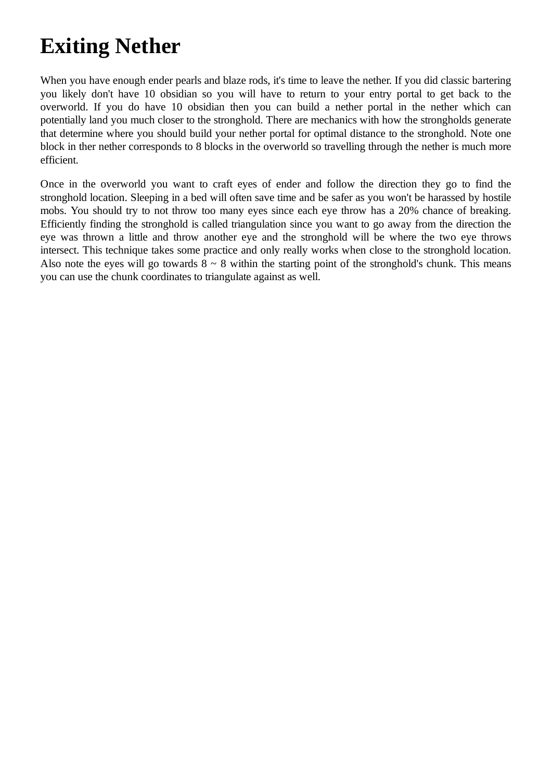### <span id="page-17-0"></span>**Exiting Nether**

When you have enough ender pearls and blaze rods, it's time to leave the nether. If you did classic bartering you likely don't have 10 obsidian so you will have to return to your entry portal to get back to the overworld. If you do have 10 obsidian then you can build a nether portal in the nether which can potentially land you much closer to the stronghold. There are mechanics with how the strongholds generate that determine where you should build your nether portal for optimal distance to the stronghold. Note one block in ther nether corresponds to 8 blocks in the overworld so travelling through the nether is much more efficient.

Once in the overworld you want to craft eyes of ender and follow the direction they go to find the stronghold location. Sleeping in a bed will often save time and be safer as you won't be harassed by hostile mobs. You should try to not throw too many eyes since each eye throw has a 20% chance of breaking. Efficiently finding the stronghold is called triangulation since you want to go away from the direction the eye was thrown a little and throw another eye and the stronghold will be where the two eye throws intersect. This technique takes some practice and only really works when close to the stronghold location. Also note the eyes will go towards  $8 \sim 8$  within the starting point of the stronghold's chunk. This means you can use the chunk coordinates to triangulate against as well.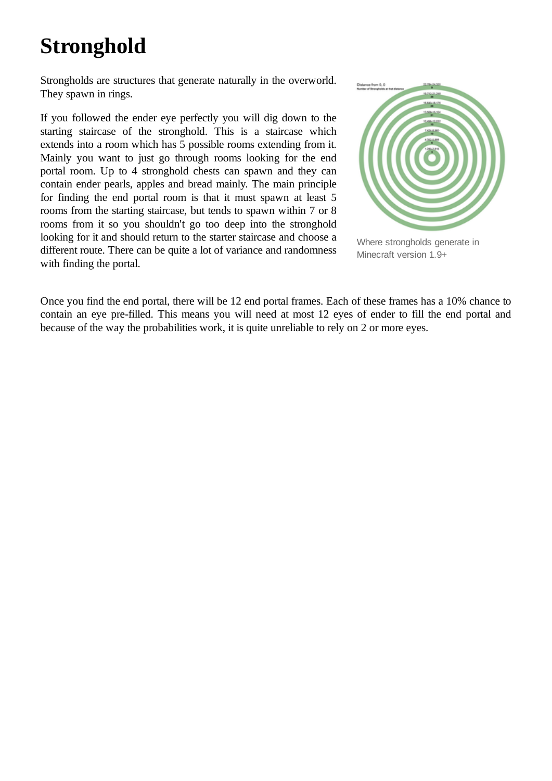# <span id="page-18-0"></span>**Stronghold**

Strongholds are structures that generate naturally in the overworld. They spawn in rings.

If you followed the ender eye perfectly you will dig down to the starting staircase of the stronghold. This is a staircase which extends into a room which has 5 possible rooms extending from it. Mainly you want to just go through rooms looking for the end portal room. Up to 4 stronghold chests can spawn and they can contain ender pearls, apples and bread mainly. The main principle for finding the end portal room is that it must spawn at least 5 rooms from the starting staircase, but tends to spawn within 7 or 8 rooms from it so you shouldn't go too deep into the stronghold looking for it and should return to the starter staircase and choose a different route. There can be quite a lot of variance and randomness with finding the portal.



Where strongholds generate in Minecraft version 1.9+

Once you find the end portal, there will be 12 end portal frames. Each of these frames has a 10% chance to contain an eye pre-filled. This means you will need at most 12 eyes of ender to fill the end portal and because of the way the probabilities work, it is quite unreliable to rely on 2 or more eyes.